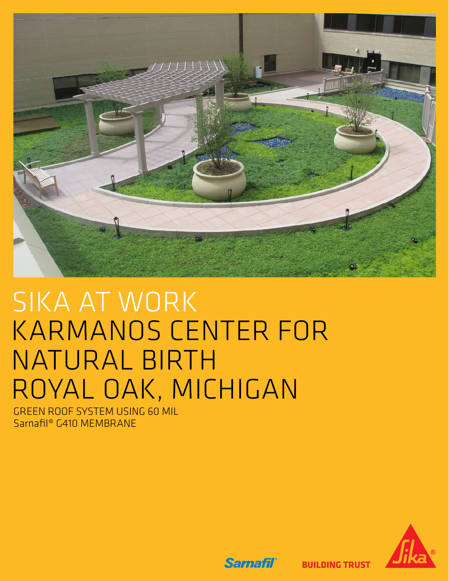

# SIKA AT WORK KARMANOS CENTER FOR NATURAL BIRTH ROYAL OAK, MICHIGAN

GREEN ROOF SYSTEM USING 60 MIL Sarnafil® G410 MEMBRANE



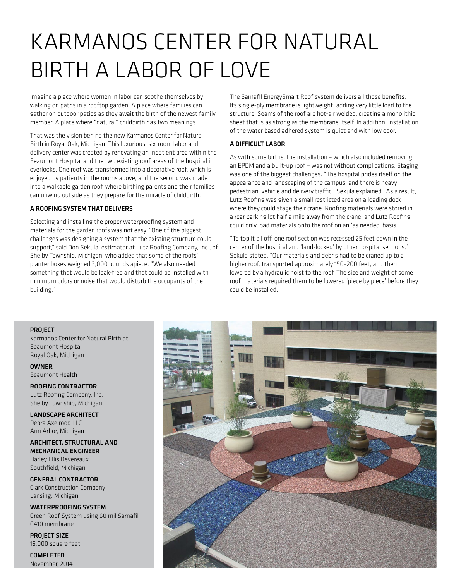## KARMANOS CENTER FOR NATURAL BIRTH A LABOR OF LOVE

Imagine a place where women in labor can soothe themselves by walking on paths in a rooftop garden. A place where families can gather on outdoor patios as they await the birth of the newest family member. A place where "natural" childbirth has two meanings.

That was the vision behind the new Karmanos Center for Natural Birth in Royal Oak, Michigan. This luxurious, six-room labor and delivery center was created by renovating an inpatient area within the Beaumont Hospital and the two existing roof areas of the hospital it overlooks. One roof was transformed into a decorative roof, which is enjoyed by patients in the rooms above, and the second was made into a walkable garden roof, where birthing parents and their families can unwind outside as they prepare for the miracle of childbirth.

#### A ROOFING SYSTEM THAT DELIVERS

Selecting and installing the proper waterproofing system and materials for the garden roofs was not easy. "One of the biggest challenges was designing a system that the existing structure could support," said Don Sekula, estimator at Lutz Roofing Company, Inc., of Shelby Township, Michigan, who added that some of the roofs' planter boxes weighed 3,000 pounds apiece. "We also needed something that would be leak-free and that could be installed with minimum odors or noise that would disturb the occupants of the building."

The Sarnafil EnergySmart Roof system delivers all those benefits. Its single-ply membrane is lightweight, adding very little load to the structure. Seams of the roof are hot-air welded, creating a monolithic sheet that is as strong as the membrane itself. In addition, installation of the water based adhered system is quiet and with low odor.

### A DIFFICULT LABOR

As with some births, the installation – which also included removing an EPDM and a built-up roof – was not without complications. Staging was one of the biggest challenges. "The hospital prides itself on the appearance and landscaping of the campus, and there is heavy pedestrian, vehicle and delivery traffic," Sekula explained. As a result, Lutz Roofing was given a small restricted area on a loading dock where they could stage their crane. Roofing materials were stored in a rear parking lot half a mile away from the crane, and Lutz Roofing could only load materials onto the roof on an 'as needed' basis.

"To top it all off, one roof section was recessed 25 feet down in the center of the hospital and 'land-locked' by other hospital sections," Sekula stated. "Our materials and debris had to be craned up to a higher roof, transported approximately 150–200 feet, and then lowered by a hydraulic hoist to the roof. The size and weight of some roof materials required them to be lowered 'piece by piece' before they could be installed."

#### **PROJECT**

Karmanos Center for Natural Birth at Beaumont Hospital Royal Oak, Michigan

**OWNER** Beaumont Health

ROOFING CONTRACTOR Lutz Roofing Company, Inc. Shelby Township, Michigan

LANDSCAPE ARCHITECT Debra Axelrood LLC Ann Arbor, Michigan

ARCHITECT, STRUCTURAL AND MECHANICAL ENGINEER Harley Ellis Devereaux Southfield, Michigan

GENERAL CONTRACTOR Clark Construction Company Lansing, Michigan

WATERPROOFING SYSTEM Green Roof System using 60 mil Sarnafil G410 membrane

PROJECT SIZE 16,000 square feet

COMPLETED November, 2014

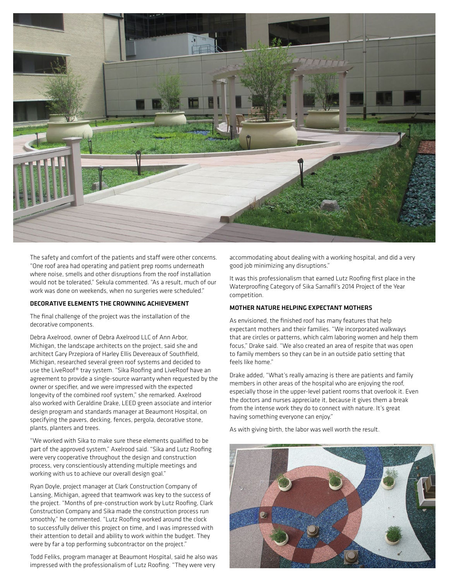

The safety and comfort of the patients and staff were other concerns. "One roof area had operating and patient prep rooms underneath where noise, smells and other disruptions from the roof installation would not be tolerated," Sekula commented. "As a result, much of our work was done on weekends, when no surgeries were scheduled."

#### DECORATIVE ELEMENTS THE CROWNING ACHIEVEMENT

The final challenge of the project was the installation of the decorative components.

Debra Axelrood, owner of Debra Axelrood LLC of Ann Arbor, Michigan, the landscape architects on the project, said she and architect Gary Przepiora of Harley Ellis Devereaux of Southfield, Michigan, researched several green roof systems and decided to use the LiveRoof® tray system. "Sika Roofing and LiveRoof have an agreement to provide a single-source warranty when requested by the owner or specifier, and we were impressed with the expected longevity of the combined roof system," she remarked. Axelrood also worked with Geraldine Drake, LEED green associate and interior design program and standards manager at Beaumont Hospital, on specifying the pavers, decking, fences, pergola, decorative stone, plants, planters and trees.

"We worked with Sika to make sure these elements qualified to be part of the approved system," Axelrood said. "Sika and Lutz Roofing were very cooperative throughout the design and construction process, very conscientiously attending multiple meetings and working with us to achieve our overall design goal."

Ryan Doyle, project manager at Clark Construction Company of Lansing, Michigan, agreed that teamwork was key to the success of the project. "Months of pre-construction work by Lutz Roofing, Clark Construction Company and Sika made the construction process run smoothly," he commented. "Lutz Roofing worked around the clock to successfully deliver this project on time, and I was impressed with their attention to detail and ability to work within the budget. They were by far a top performing subcontractor on the project."

Todd Feliks, program manager at Beaumont Hospital, said he also was impressed with the professionalism of Lutz Roofing. "They were very

accommodating about dealing with a working hospital, and did a very good job minimizing any disruptions."

It was this professionalism that earned Lutz Roofing first place in the Waterproofing Category of Sika Sarnafil's 2014 Project of the Year competition.

#### MOTHER NATURE HELPING EXPECTANT MOTHERS

As envisioned, the finished roof has many features that help expectant mothers and their families. "We incorporated walkways that are circles or patterns, which calm laboring women and help them focus," Drake said. "We also created an area of respite that was open to family members so they can be in an outside patio setting that feels like home."

Drake added, "What's really amazing is there are patients and family members in other areas of the hospital who are enjoying the roof, especially those in the upper-level patient rooms that overlook it. Even the doctors and nurses appreciate it, because it gives them a break from the intense work they do to connect with nature. It's great having something everyone can enjoy."

As with giving birth, the labor was well worth the result.